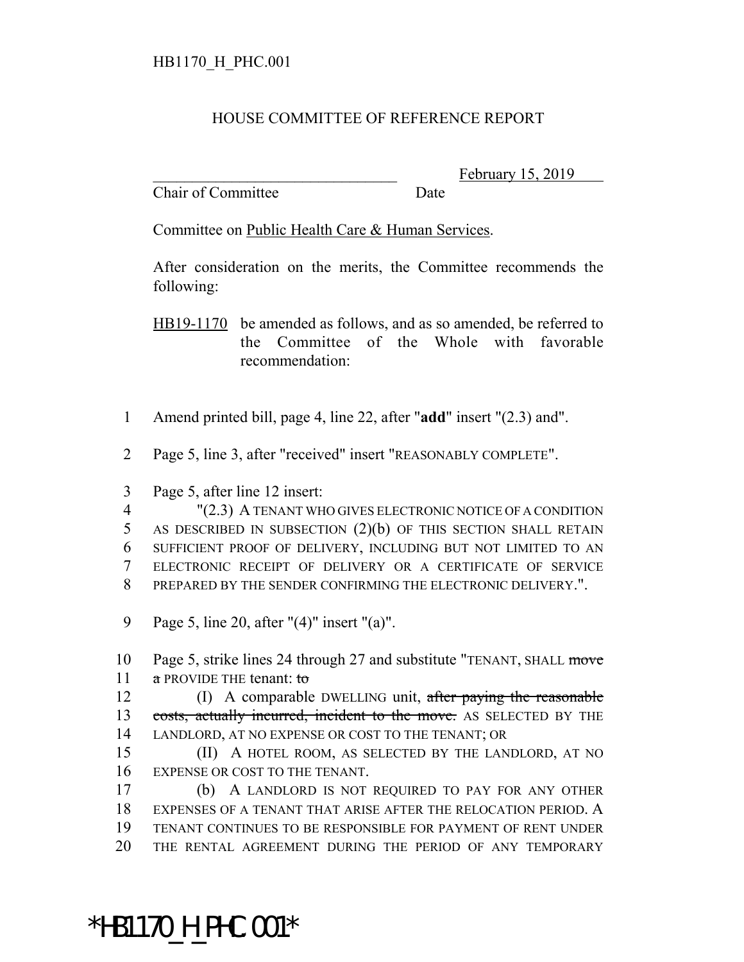## HOUSE COMMITTEE OF REFERENCE REPORT

Chair of Committee Date

February 15, 2019

Committee on Public Health Care & Human Services.

After consideration on the merits, the Committee recommends the following:

HB19-1170 be amended as follows, and as so amended, be referred to the Committee of the Whole with favorable recommendation:

1 Amend printed bill, page 4, line 22, after "**add**" insert "(2.3) and".

2 Page 5, line 3, after "received" insert "REASONABLY COMPLETE".

3 Page 5, after line 12 insert:

 "(2.3) A TENANT WHO GIVES ELECTRONIC NOTICE OF A CONDITION AS DESCRIBED IN SUBSECTION (2)(b) OF THIS SECTION SHALL RETAIN SUFFICIENT PROOF OF DELIVERY, INCLUDING BUT NOT LIMITED TO AN ELECTRONIC RECEIPT OF DELIVERY OR A CERTIFICATE OF SERVICE PREPARED BY THE SENDER CONFIRMING THE ELECTRONIC DELIVERY.".

9 Page 5, line 20, after "(4)" insert "(a)".

10 Page 5, strike lines 24 through 27 and substitute "TENANT, SHALL move 11 a PROVIDE THE tenant: to

12 (I) A comparable DWELLING unit, after paying the reasonable 13 costs, actually incurred, incident to the move. AS SELECTED BY THE 14 LANDLORD, AT NO EXPENSE OR COST TO THE TENANT; OR

15 (II) A HOTEL ROOM, AS SELECTED BY THE LANDLORD, AT NO 16 EXPENSE OR COST TO THE TENANT.

 (b) A LANDLORD IS NOT REQUIRED TO PAY FOR ANY OTHER EXPENSES OF A TENANT THAT ARISE AFTER THE RELOCATION PERIOD. A TENANT CONTINUES TO BE RESPONSIBLE FOR PAYMENT OF RENT UNDER THE RENTAL AGREEMENT DURING THE PERIOD OF ANY TEMPORARY

\*HB1170\_H\_PHC.001\*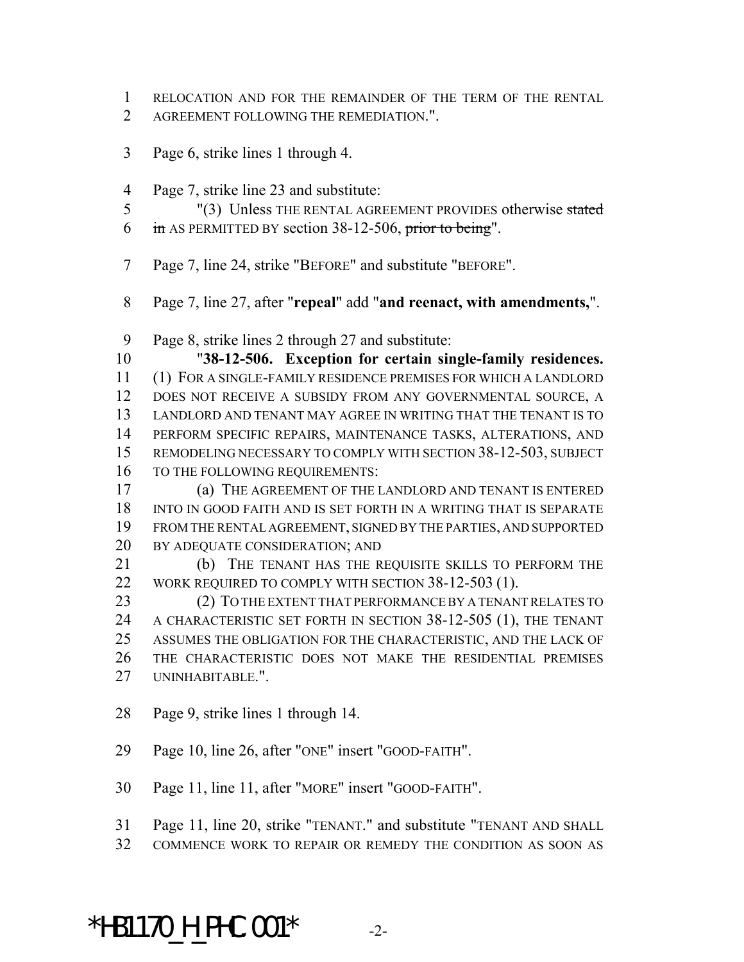RELOCATION AND FOR THE REMAINDER OF THE TERM OF THE RENTAL AGREEMENT FOLLOWING THE REMEDIATION.".

- Page 6, strike lines 1 through 4.
- Page 7, strike line 23 and substitute:

 "(3) Unless THE RENTAL AGREEMENT PROVIDES otherwise stated in AS PERMITTED BY section 38-12-506, prior to being".

- Page 7, line 24, strike "BEFORE" and substitute "BEFORE".
- Page 7, line 27, after "**repeal**" add "**and reenact, with amendments,**".
- Page 8, strike lines 2 through 27 and substitute:

 "**38-12-506. Exception for certain single-family residences.** (1) FOR A SINGLE-FAMILY RESIDENCE PREMISES FOR WHICH A LANDLORD DOES NOT RECEIVE A SUBSIDY FROM ANY GOVERNMENTAL SOURCE, A LANDLORD AND TENANT MAY AGREE IN WRITING THAT THE TENANT IS TO PERFORM SPECIFIC REPAIRS, MAINTENANCE TASKS, ALTERATIONS, AND REMODELING NECESSARY TO COMPLY WITH SECTION 38-12-503, SUBJECT TO THE FOLLOWING REQUIREMENTS:

 (a) THE AGREEMENT OF THE LANDLORD AND TENANT IS ENTERED INTO IN GOOD FAITH AND IS SET FORTH IN A WRITING THAT IS SEPARATE FROM THE RENTAL AGREEMENT, SIGNED BY THE PARTIES, AND SUPPORTED BY ADEQUATE CONSIDERATION; AND

 (b) THE TENANT HAS THE REQUISITE SKILLS TO PERFORM THE 22 WORK REQUIRED TO COMPLY WITH SECTION 38-12-503 (1).

 (2) TO THE EXTENT THAT PERFORMANCE BY A TENANT RELATES TO A CHARACTERISTIC SET FORTH IN SECTION 38-12-505 (1), THE TENANT ASSUMES THE OBLIGATION FOR THE CHARACTERISTIC, AND THE LACK OF THE CHARACTERISTIC DOES NOT MAKE THE RESIDENTIAL PREMISES UNINHABITABLE.".

- Page 9, strike lines 1 through 14.
- Page 10, line 26, after "ONE" insert "GOOD-FAITH".

Page 11, line 11, after "MORE" insert "GOOD-FAITH".

- Page 11, line 20, strike "TENANT." and substitute "TENANT AND SHALL
- COMMENCE WORK TO REPAIR OR REMEDY THE CONDITION AS SOON AS

\*HB1170 H PHC.001\*  $-2$ -